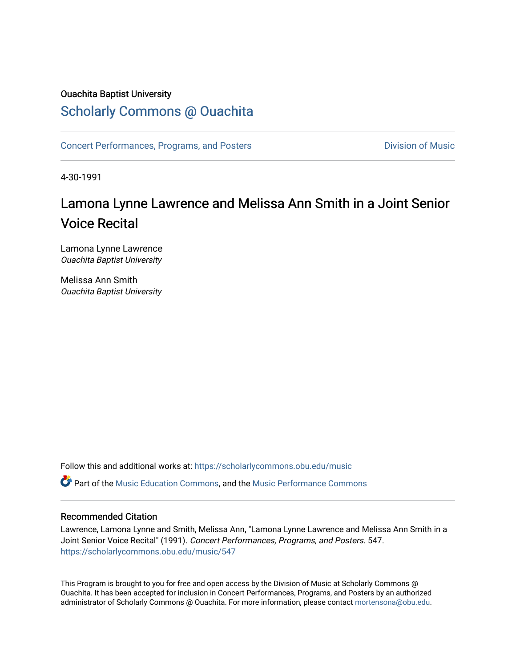### Ouachita Baptist University

### [Scholarly Commons @ Ouachita](https://scholarlycommons.obu.edu/)

[Concert Performances, Programs, and Posters](https://scholarlycommons.obu.edu/music) **Division of Music** Division of Music

4-30-1991

# Lamona Lynne Lawrence and Melissa Ann Smith in a Joint Senior Voice Recital

Lamona Lynne Lawrence Ouachita Baptist University

Melissa Ann Smith Ouachita Baptist University

Follow this and additional works at: [https://scholarlycommons.obu.edu/music](https://scholarlycommons.obu.edu/music?utm_source=scholarlycommons.obu.edu%2Fmusic%2F547&utm_medium=PDF&utm_campaign=PDFCoverPages) 

Part of the [Music Education Commons,](http://network.bepress.com/hgg/discipline/1246?utm_source=scholarlycommons.obu.edu%2Fmusic%2F547&utm_medium=PDF&utm_campaign=PDFCoverPages) and the [Music Performance Commons](http://network.bepress.com/hgg/discipline/1128?utm_source=scholarlycommons.obu.edu%2Fmusic%2F547&utm_medium=PDF&utm_campaign=PDFCoverPages) 

#### Recommended Citation

Lawrence, Lamona Lynne and Smith, Melissa Ann, "Lamona Lynne Lawrence and Melissa Ann Smith in a Joint Senior Voice Recital" (1991). Concert Performances, Programs, and Posters. 547. [https://scholarlycommons.obu.edu/music/547](https://scholarlycommons.obu.edu/music/547?utm_source=scholarlycommons.obu.edu%2Fmusic%2F547&utm_medium=PDF&utm_campaign=PDFCoverPages) 

This Program is brought to you for free and open access by the Division of Music at Scholarly Commons @ Ouachita. It has been accepted for inclusion in Concert Performances, Programs, and Posters by an authorized administrator of Scholarly Commons @ Ouachita. For more information, please contact [mortensona@obu.edu](mailto:mortensona@obu.edu).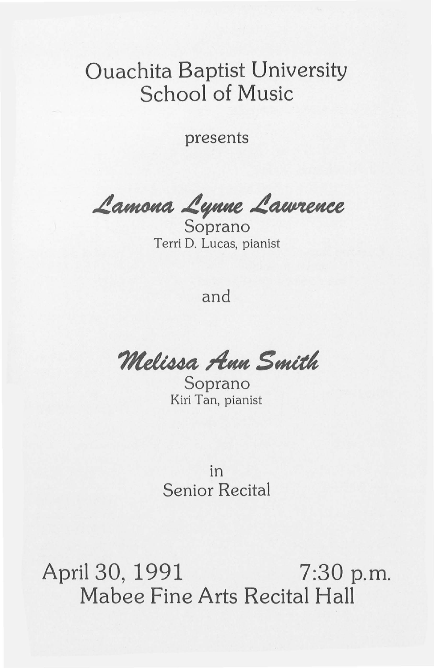## Ouachita Baptist University School of Music

presents

Lamona Lynne Lawrence

Terri D. Lucas, pianist

and

**Melissa Ann Smith**<br>Soprano

Kiri Tan, pianist

in Senior Recital

April 30, 1991 7:30 p.m. Mabee Fine Arts Recital Hall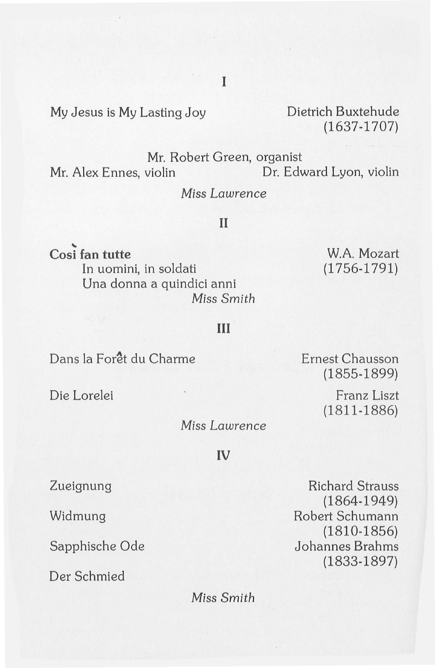My Jesus is My Lasting Joy Dietrich Buxtehude

(1637-1707)

Mr. Robert Green, organist<br>Mr. Alex Ennes, violin Dr. Edv Dr. Edward Lyon, violin

Miss *Lawrence* 

#### II

Cosi fan tutte In uomini, in soldati Una donna a quindici anni Miss *Smith* 

W.A. Mozart (1756-1791)

#### **III**

Dans la Forêt du Charme

Die Lorelei

Miss *Lawrence* 

**IV** 

Zueignung

Widmung

Sapphische Ode

Der Schmied

Richard Strauss (1864-1949) Robert Schumann (1810-1856) Johannes Brahms (1833-1897)

Miss *Smith* 

Ernest Chausson (1855-1899)

> Franz Liszt (1811-1886)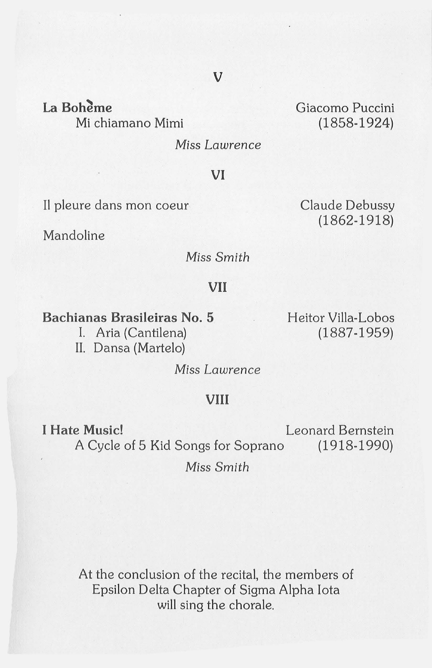La Bohème Mi chiamano Mimi Giacomo Puccini (1858-1924)

Claude Debussy (1862-1918)

Miss *Lawrence* 

**VI** 

II pleure dans mon coeur

Mandoline

Miss *Smith* 

#### **VII**

**Bachianas Brasileiras** No. **5** 

I. Aria (Cantilena) II. Dansa (Martelo) Heitor Villa-Lobos (1887-1959)

Miss *Lawrence* 

#### **VIII**

**I Hate Music! Leonard Bernstein** A Cycle of 5 Kid Songs for Soprano (1918-1990)

Miss *Smith* 

At the conclusion of the recital, the members of Epsilon Delta Chapter of Sigma Alpha Iota will sing the chorale.

#### **v**